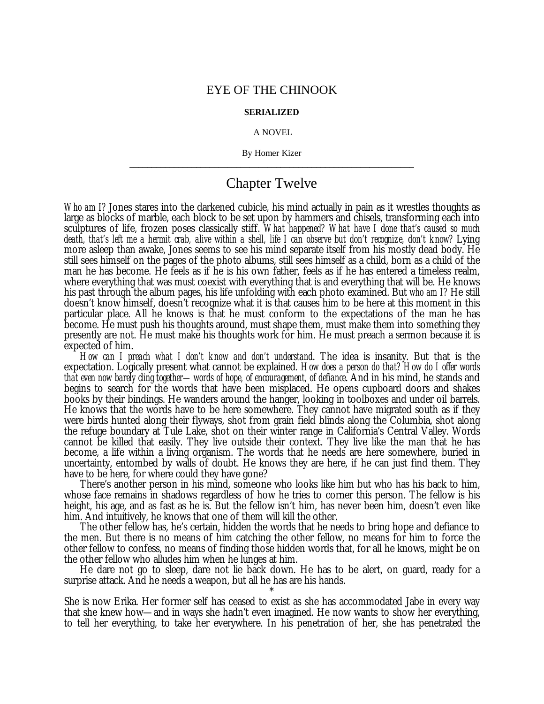## EYE OF THE CHINOOK

## **SERIALIZED**

## A NOVEL

By Homer Kizer **\_\_\_\_\_\_\_\_\_\_\_\_\_\_\_\_\_\_\_\_\_\_\_\_\_\_\_\_\_\_\_\_\_\_\_\_\_\_\_\_\_\_\_\_\_\_\_\_\_\_\_\_\_\_\_\_\_\_\_\_\_\_\_\_**

## Chapter Twelve

*Who am I?* Jones stares into the darkened cubicle, his mind actually in pain as it wrestles thoughts as large as blocks of marble, each block to be set upon by hammers and chisels, transforming each into sculptures of life, frozen poses classically stiff. *What happened? What have I done that's caused so much death, that's left me a hermit crab, alive within a shell, life I can observe but don't recognize, don't know?* Lying more asleep than awake, Jones seems to see his mind separate itself from his mostly dead body. He still sees himself on the pages of the photo albums, still sees himself as a child, born as a child of the man he has become. He feels as if he is his own father, feels as if he has entered a timeless realm, where everything that was must coexist with everything that is and everything that will be. He knows his past through the album pages, his life unfolding with each photo examined. But *who am I?* He still doesn't know himself, doesn't recognize what it is that causes him to be here at this moment in this particular place. All he knows is that he must conform to the expectations of the man he has become. He must push his thoughts around, must shape them, must make them into something they presently are not. He must make his thoughts work for him. He must preach a sermon because it is expected of him.

*How can I preach what I don't know and don't understand*. The idea is insanity. But that is the expectation. Logically present what cannot be explained*. How does a person do that? How do I offer words that even now barely cling together— words of hope, of encouragement, of defiance*. And in his mind, he stands and begins to search for the words that have been misplaced. He opens cupboard doors and shakes books by their bindings. He wanders around the hanger, looking in toolboxes and under oil barrels. He knows that the words have to be here somewhere. They cannot have migrated south as if they were birds hunted along their flyways, shot from grain field blinds along the Columbia, shot along the refuge boundary at Tule Lake, shot on their winter range in California's Central Valley. Words cannot be killed that easily. They live outside their context. They live like the man that he has become, a life within a living organism. The words that he needs are here somewhere, buried in uncertainty, entombed by walls of doubt. He knows they are here, if he can just find them. They have to be here, for where could they have gone?

There's another person in his mind, someone who looks like him but who has his back to him, whose face remains in shadows regardless of how he tries to corner this person. The fellow is his height, his age, and as fast as he is. But the fellow isn't him, has never been him, doesn't even like him. And intuitively, he knows that one of them will kill the other.

The other fellow has, he's certain, hidden the words that he needs to bring hope and defiance to the men. But there is no means of him catching the other fellow, no means for him to force the other fellow to confess, no means of finding those hidden words that, for all he knows, might be on the other fellow who alludes him when he lunges at him.

He dare not go to sleep, dare not lie back down. He has to be alert, on guard, ready for a surprise attack. And he needs a weapon, but all he has are his hands.

\* She is now Erika. Her former self has ceased to exist as she has accommodated Jabe in every way that she knew how— and in ways she hadn't even imagined. He now wants to show her everything, to tell her everything, to take her everywhere. In his penetration of her, she has penetrated the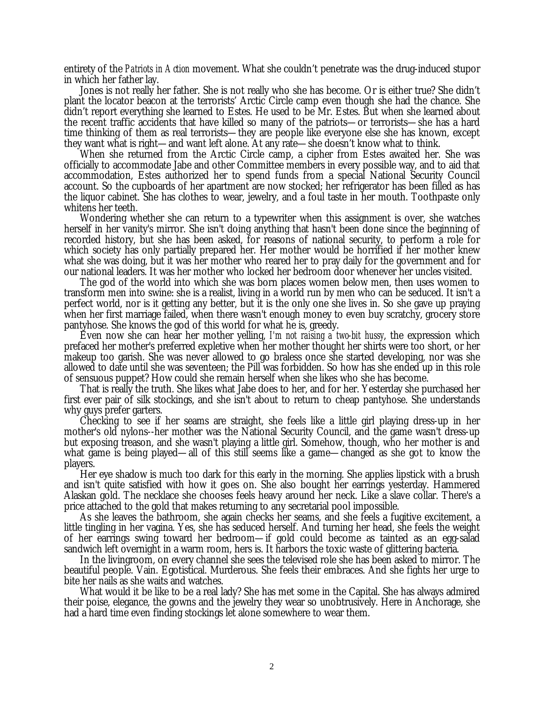entirety of the *Patriots in Action* movement. What she couldn't penetrate was the drug-induced stupor in which her father lay.

Jones is not really her father. She is not really who she has become. Or is either true? She didn't plant the locator beacon at the terrorists' Arctic Circle camp even though she had the chance. She didn't report everything she learned to Estes. He used to be Mr. Estes. But when she learned about the recent traffic accidents that have killed so many of the patriots— or terrorists— she has a hard time thinking of them as real terrorists— they are people like everyone else she has known, except they want what is right— and want left alone. At any rate— she doesn't know what to think.

When she returned from the Arctic Circle camp, a cipher from Estes awaited her. She was officially to accommodate Jabe and other Committee members in every possible way, and to aid that accommodation, Estes authorized her to spend funds from a special National Security Council account. So the cupboards of her apartment are now stocked; her refrigerator has been filled as has the liquor cabinet. She has clothes to wear, jewelry, and a foul taste in her mouth. Toothpaste only whitens her teeth.

Wondering whether she can return to a typewriter when this assignment is over, she watches herself in her vanity's mirror. She isn't doing anything that hasn't been done since the beginning of recorded history, but she has been asked, for reasons of national security, to perform a role for which society has only partially prepared her. Her mother would be horrified if her mother knew what she was doing, but it was her mother who reared her to pray daily for the government and for our national leaders. It was her mother who locked her bedroom door whenever her uncles visited.

The god of the world into which she was born places women below men, then uses women to transform men into swine: she is a realist, living in a world run by men who can be seduced. It isn't a perfect world, nor is it getting any better, but it is the only one she lives in. So she gave up praying when her first marriage failed, when there wasn't enough money to even buy scratchy, grocery store pantyhose. She knows the god of this world for what he is, greedy.

Even now she can hear her mother yelling, *I'm not raising a two-bit hussy*, the expression which prefaced her mother's preferred expletive when her mother thought her shirts were too short, or her makeup too garish. She was never allowed to go braless once she started developing, nor was she allowed to date until she was seventeen; the Pill was forbidden. So how has she ended up in this role of sensuous puppet? How could she remain herself when she likes who she has become.

That is really the truth. She likes what Jabe does to her, and for her. Yesterday she purchased her first ever pair of silk stockings, and she isn't about to return to cheap pantyhose. She understands why guys prefer garters.

Checking to see if her seams are straight, she feels like a little girl playing dress-up in her mother's old nylons--her mother was the National Security Council, and the game wasn't dress-up but exposing treason, and she wasn't playing a little girl. Somehow, though, who her mother is and what game is being played— all of this still seems like a game— changed as she got to know the players.

Her eye shadow is much too dark for this early in the morning. She applies lipstick with a brush and isn't quite satisfied with how it goes on. She also bought her earrings yesterday. Hammered Alaskan gold. The necklace she chooses feels heavy around her neck. Like a slave collar. There's a price attached to the gold that makes returning to any secretarial pool impossible.

As she leaves the bathroom, she again checks her seams, and she feels a fugitive excitement, a little tingling in her vagina. Yes, she has seduced herself. And turning her head, she feels the weight of her earrings swing toward her bedroom— if gold could become as tainted as an egg-salad sandwich left overnight in a warm room, hers is. It harbors the toxic waste of glittering bacteria.

In the livingroom, on every channel she sees the televised role she has been asked to mirror. The beautiful people. Vain. Egotistical. Murderous. She feels their embraces. And she fights her urge to bite her nails as she waits and watches.

What would it be like to be a real lady? She has met some in the Capital. She has always admired their poise, elegance, the gowns and the jewelry they wear so unobtrusively. Here in Anchorage, she had a hard time even finding stockings let alone somewhere to wear them.